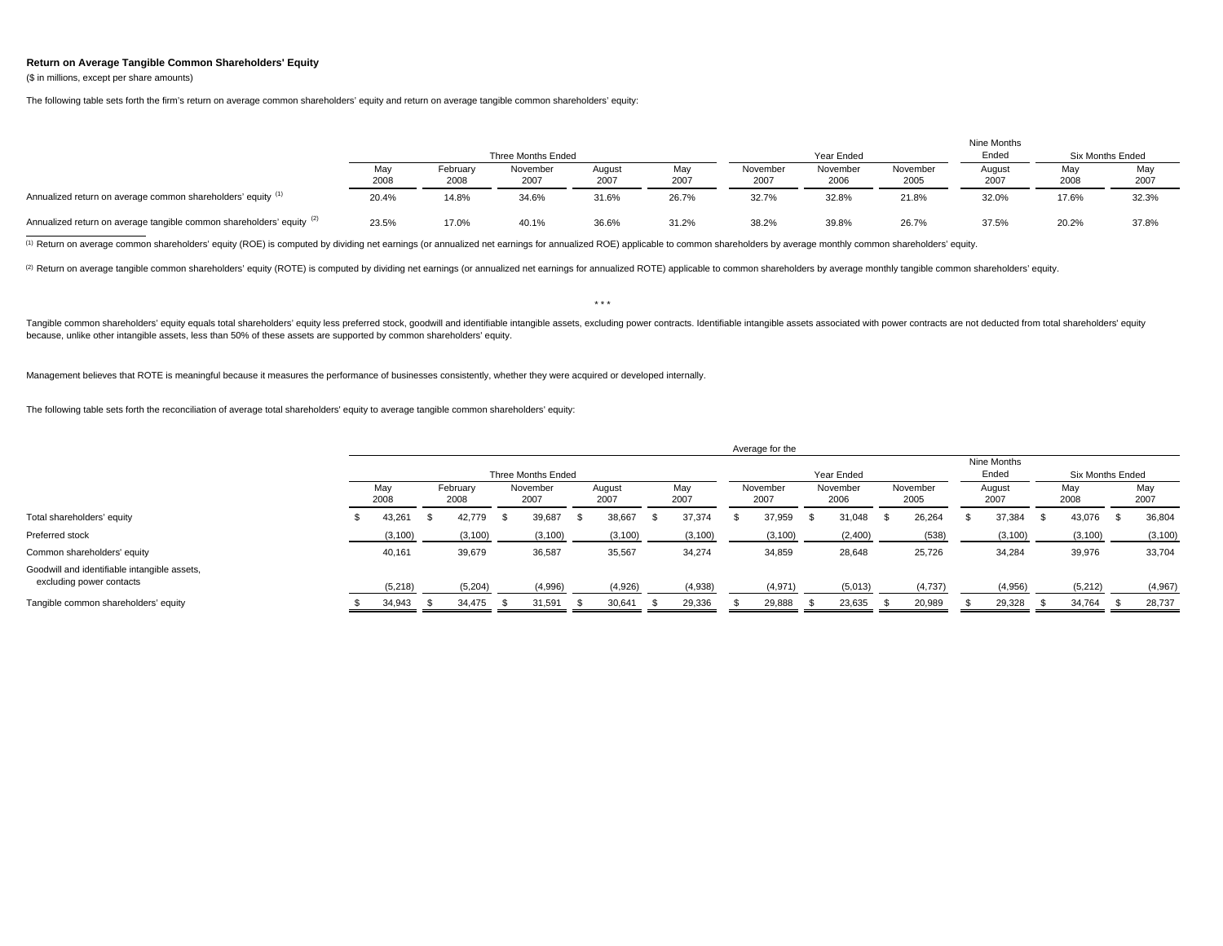## **Return on Average Tangible Common Shareholders' Equity**

(\$ in millions, except per share amounts)

The following table sets forth the firm's return on average common shareholders' equity and return on average tangible common shareholders' equity:

|                                                                       |       |          |                    |        |       |          |            |          | Nine Months |       |                         |
|-----------------------------------------------------------------------|-------|----------|--------------------|--------|-------|----------|------------|----------|-------------|-------|-------------------------|
|                                                                       |       |          | Three Months Ended |        |       |          | Year Ended |          | Ended       |       | <b>Six Months Ended</b> |
|                                                                       | May   | February | November           | August | May   | November | November   | November | August      | May   | Mav                     |
|                                                                       | 2008  | 2008     | 2007               | 2007   | 2007  | 2007     | 2006       | 2005     | 2007        | 2008  | 200                     |
| Annualized return on average common shareholders' equity (1)          | 20.4% | 14.8%    | 34.6%              | 31.6%  | 26.7% | 32.7%    | 32.8%      | 21.8%    | 32.0%       | 17.6% | 32.3%                   |
| Annualized return on average tangible common shareholders' equity (2) | 23.5% | 17.0%    | 40.1%              | 36.6%  | 31.2% | 38.2%    | 39.8%      | 26.7%    | 37.5%       | 20.2% | 37.8%                   |

(1) Return on average common shareholders' equity (ROE) is computed by dividing net earnings (or annualized net earnings for annualized ROE) applicable to common shareholders by average monthly common shareholders' equity.

(2) Return on average tangible common shareholders' equity (ROTE) is computed by dividing net earnings (or annualized net earnings for annualized ROTE) applicable to common shareholders by average monthly tangible common s

Tangible common shareholders' equity equals total shareholders' equity less preferred stock, goodwill and identifiable intangible assets, excluding power contracts. Identifiable intangible assets associated with power cont because, unlike other intangible assets, less than 50% of these assets are supported by common shareholders' equity.

 $\star$   $\star$   $\star$ 

Management believes that ROTE is meaningful because it measures the performance of businesses consistently, whether they were acquired or developed internally.

The following table sets forth the reconciliation of average total shareholders' equity to average tangible common shareholders' equity:

|                                                                          |             |  |                  |  |                    |  |                |  |             | Average for the |                  |  |                  |  |                  |             |                |  |                         |     |             |
|--------------------------------------------------------------------------|-------------|--|------------------|--|--------------------|--|----------------|--|-------------|-----------------|------------------|--|------------------|--|------------------|-------------|----------------|--|-------------------------|-----|-------------|
|                                                                          |             |  |                  |  |                    |  |                |  |             |                 |                  |  |                  |  |                  | Nine Months |                |  |                         |     |             |
|                                                                          |             |  |                  |  | Three Months Ended |  |                |  |             |                 | Year Ended       |  |                  |  |                  |             | Ended          |  | <b>Six Months Ended</b> |     |             |
|                                                                          | May<br>2008 |  | February<br>2008 |  | November<br>2007   |  | August<br>2007 |  | May<br>2007 |                 | November<br>2007 |  | November<br>2006 |  | November<br>2005 |             | August<br>2007 |  | May<br>2008             |     | May<br>2007 |
| Total shareholders' equity                                               | 43,261      |  | 42.779           |  | 39,687             |  | 38,667         |  | 37,374      |                 | 37,959           |  | 31,048           |  | 26,264           |             | 37,384         |  | 43,076                  | - S | 36,804      |
| Preferred stock                                                          | (3, 100)    |  | (3, 100)         |  | (3, 100)           |  | (3, 100)       |  | (3, 100)    |                 | (3, 100)         |  | (2,400)          |  | (538)            |             | (3, 100)       |  | (3, 100)                |     | (3, 100)    |
| Common shareholders' equity                                              | 40,161      |  | 39,679           |  | 36,587             |  | 35,567         |  | 34,274      |                 | 34,859           |  | 28,648           |  | 25,726           |             | 34,284         |  | 39,976                  |     | 33,704      |
| Goodwill and identifiable intangible assets,<br>excluding power contacts | (5, 218)    |  | (5,204)          |  | (4,996)            |  | (4,926)        |  | (4,938)     |                 | (4,971)          |  | (5,013)          |  | (4,737)          |             | (4,956)        |  | (5,212)                 |     | (4,967)     |
| Tangible common shareholders' equity                                     | 34.943      |  | 34.475           |  | 31,591             |  | 30,641         |  | 29,336      |                 | 29,888           |  | 23,635           |  | 20,989           |             | 29,328         |  | 34,764                  |     | 28,737      |
|                                                                          |             |  |                  |  |                    |  |                |  |             |                 |                  |  |                  |  |                  |             |                |  |                         |     |             |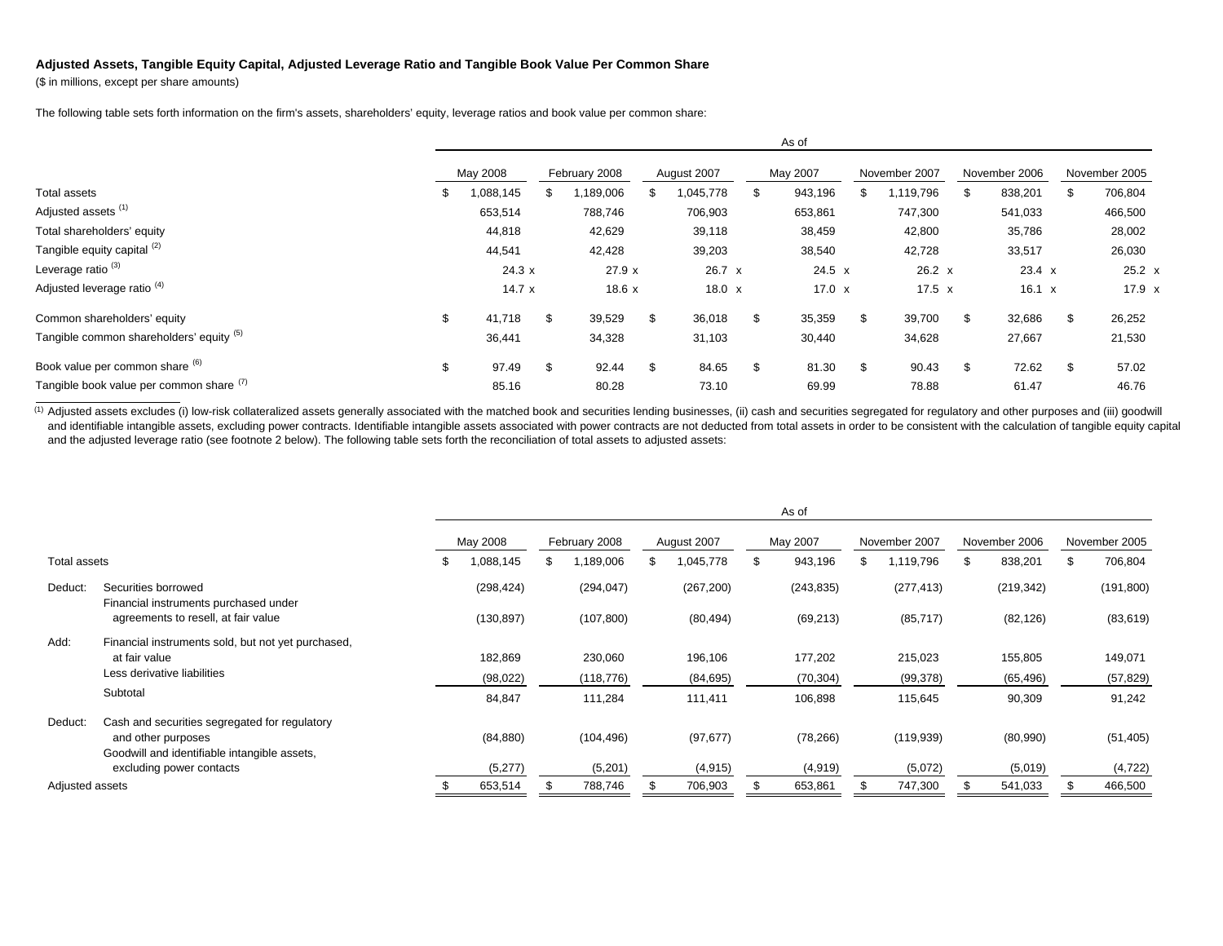## **Adjusted Assets, Tangible Equity Capital, Adjusted Leverage Ratio and Tangible Book Value Per Common Share**

(\$ in millions, except per share amounts)

The following table sets forth information on the firm's assets, shareholders' equity, leverage ratios and book value per common share:

|                                          | As of |           |    |               |    |               |  |               |  |                 |  |               |               |
|------------------------------------------|-------|-----------|----|---------------|----|---------------|--|---------------|--|-----------------|--|---------------|---------------|
|                                          |       | May 2008  |    | February 2008 |    | August 2007   |  | May 2007      |  | November 2007   |  | November 2006 | November 2005 |
| Total assets                             | - 35  | 1,088,145 | ж  | ,189,006      |    | 1,045,778     |  | 943,196<br>\$ |  | 1,119,796<br>\$ |  | 838,201<br>\$ | 706,804       |
| Adjusted assets <sup>(1)</sup>           |       | 653,514   |    | 788,746       |    | 706,903       |  | 653,861       |  | 747,300         |  | 541,033       | 466,500       |
| Total shareholders' equity               |       | 44,818    |    | 42,629        |    | 39,118        |  | 38,459        |  | 42,800          |  | 35,786        | 28,002        |
| Tangible equity capital (2)              |       | 44,541    |    | 42,428        |    | 39,203        |  | 38,540        |  | 42,728          |  | 33,517        | 26,030        |
| Leverage ratio <sup>(3)</sup>            |       | 24.3 x    |    | 27.9 x        |    | 26.7 x        |  | $24.5 \times$ |  | $26.2 \times$   |  | $23.4 \times$ | $25.2 \times$ |
| Adjusted leverage ratio <sup>(4)</sup>   |       | 14.7x     |    | 18.6x         |    | $18.0 \times$ |  | 17.0 $\times$ |  | $17.5 \times$   |  | $16.1 \times$ | $17.9 \times$ |
| Common shareholders' equity              | \$    | 41,718    | \$ | 39,529        | \$ | 36,018        |  | \$<br>35,359  |  | \$.<br>39,700   |  | \$<br>32,686  | 26,252        |
| Tangible common shareholders' equity (5) |       | 36,441    |    | 34,328        |    | 31,103        |  | 30,440        |  | 34,628          |  | 27,667        | 21,530        |
| Book value per common share (6)          | \$    | 97.49     | \$ | 92.44         | \$ | 84.65         |  | \$<br>81.30   |  | £.<br>90.43     |  | \$<br>72.62   | 57.02         |
| Tangible book value per common share (1) |       | 85.16     |    | 80.28         |    | 73.10         |  | 69.99         |  | 78.88           |  | 61.47         | 46.76         |

(1) Adjusted assets excludes (i) low-risk collateralized assets generally associated with the matched book and securities lending businesses, (ii) cash and securities segregated for regulatory and other purposes and (iii) and identifiable intangible assets, excluding power contracts. Identifiable intangible assets associated with power contracts are not deducted from total assets in order to be consistent with the calculation of tangible eq and the adjusted leverage ratio (see footnote 2 below). The following table sets forth the reconciliation of total assets to adjusted assets:

|                 |                                                              |            |    |               |     |             | As of         |                 |    |               |               |
|-----------------|--------------------------------------------------------------|------------|----|---------------|-----|-------------|---------------|-----------------|----|---------------|---------------|
|                 |                                                              | May 2008   |    | February 2008 |     | August 2007 | May 2007      | November 2007   |    | November 2006 | November 2005 |
| Total assets    |                                                              | 1,088,145  | £. | 1,189,006     | \$. | 1,045,778   | \$<br>943,196 | \$<br>1,119,796 | £. | 838,201       | 706,804       |
| Deduct:         | Securities borrowed<br>Financial instruments purchased under | (298, 424) |    | (294, 047)    |     | (267, 200)  | (243, 835)    | (277, 413)      |    | (219, 342)    | (191, 800)    |
|                 | agreements to resell, at fair value                          | (130, 897) |    | (107, 800)    |     | (80, 494)   | (69, 213)     | (85, 717)       |    | (82, 126)     | (83, 619)     |
| Add:            | Financial instruments sold, but not yet purchased,           |            |    |               |     |             |               |                 |    |               |               |
|                 | at fair value                                                | 182,869    |    | 230,060       |     | 196,106     | 177,202       | 215,023         |    | 155,805       | 149,071       |
|                 | Less derivative liabilities                                  | (98, 022)  |    | (118, 776)    |     | (84, 695)   | (70, 304)     | (99, 378)       |    | (65, 496)     | (57, 829)     |
|                 | Subtotal                                                     | 84,847     |    | 111,284       |     | 111,411     | 106,898       | 115,645         |    | 90,309        | 91,242        |
| Deduct:         | Cash and securities segregated for regulatory                |            |    |               |     |             |               |                 |    |               |               |
|                 | and other purposes                                           | (84, 880)  |    | (104, 496)    |     | (97, 677)   | (78, 266)     | (119, 939)      |    | (80,990)      | (51, 405)     |
|                 | Goodwill and identifiable intangible assets,                 |            |    |               |     |             |               |                 |    |               |               |
|                 | excluding power contacts                                     | (5,277)    |    | (5,201)       |     | (4, 915)    | (4,919)       | (5,072)         |    | (5,019)       | (4, 722)      |
| Adjusted assets |                                                              | 653,514    |    | 788,746       |     | 706,903     | 653,861       | 747,300         |    | 541,033       | 466,500       |